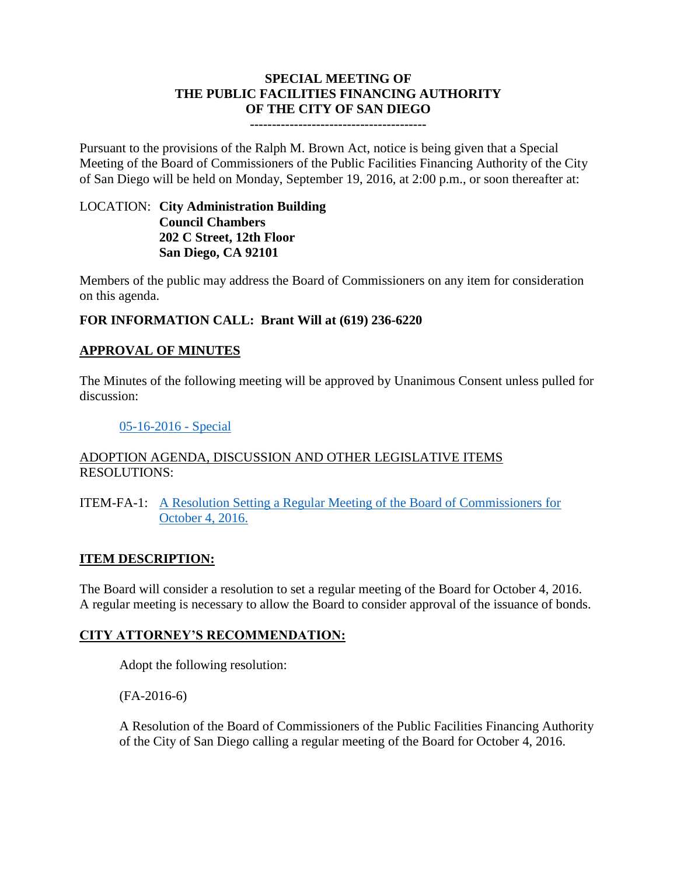# **SPECIAL MEETING OF THE PUBLIC FACILITIES FINANCING AUTHORITY OF THE CITY OF SAN DIEGO**

#### **----------------------------------------**

Pursuant to the provisions of the Ralph M. Brown Act, notice is being given that a Special Meeting of the Board of Commissioners of the Public Facilities Financing Authority of the City of San Diego will be held on Monday, September 19, 2016, at 2:00 p.m., or soon thereafter at:

### LOCATION: **City Administration Building Council Chambers 202 C Street, 12th Floor San Diego, CA 92101**

Members of the public may address the Board of Commissioners on any item for consideration on this agenda.

# **FOR INFORMATION CALL: Brant Will at (619) 236-6220**

# **APPROVAL OF MINUTES**

The Minutes of the following meeting will be approved by Unanimous Consent unless pulled for discussion:

### [05-16-2016 -](http://www.sandiego.gov/sites/default/files/05-16-2019-special.pdf) Special

### ADOPTION AGENDA, DISCUSSION AND OTHER LEGISLATIVE ITEMS RESOLUTIONS:

ITEM-FA-1: [A Resolution Setting a Regular Meeting of the Board of Commissioners for](http://www.sandiego.gov/sites/default/files/fa-2016-6.pdf) [October 4, 2016.](http://www.sandiego.gov/sites/default/files/fa-2016-6.pdf)

# **ITEM DESCRIPTION:**

The Board will consider a resolution to set a regular meeting of the Board for October 4, 2016. A regular meeting is necessary to allow the Board to consider approval of the issuance of bonds.

# **CITY ATTORNEY'S RECOMMENDATION:**

Adopt the following resolution:

(FA-2016-6)

A Resolution of the Board of Commissioners of the Public Facilities Financing Authority of the City of San Diego calling a regular meeting of the Board for October 4, 2016.